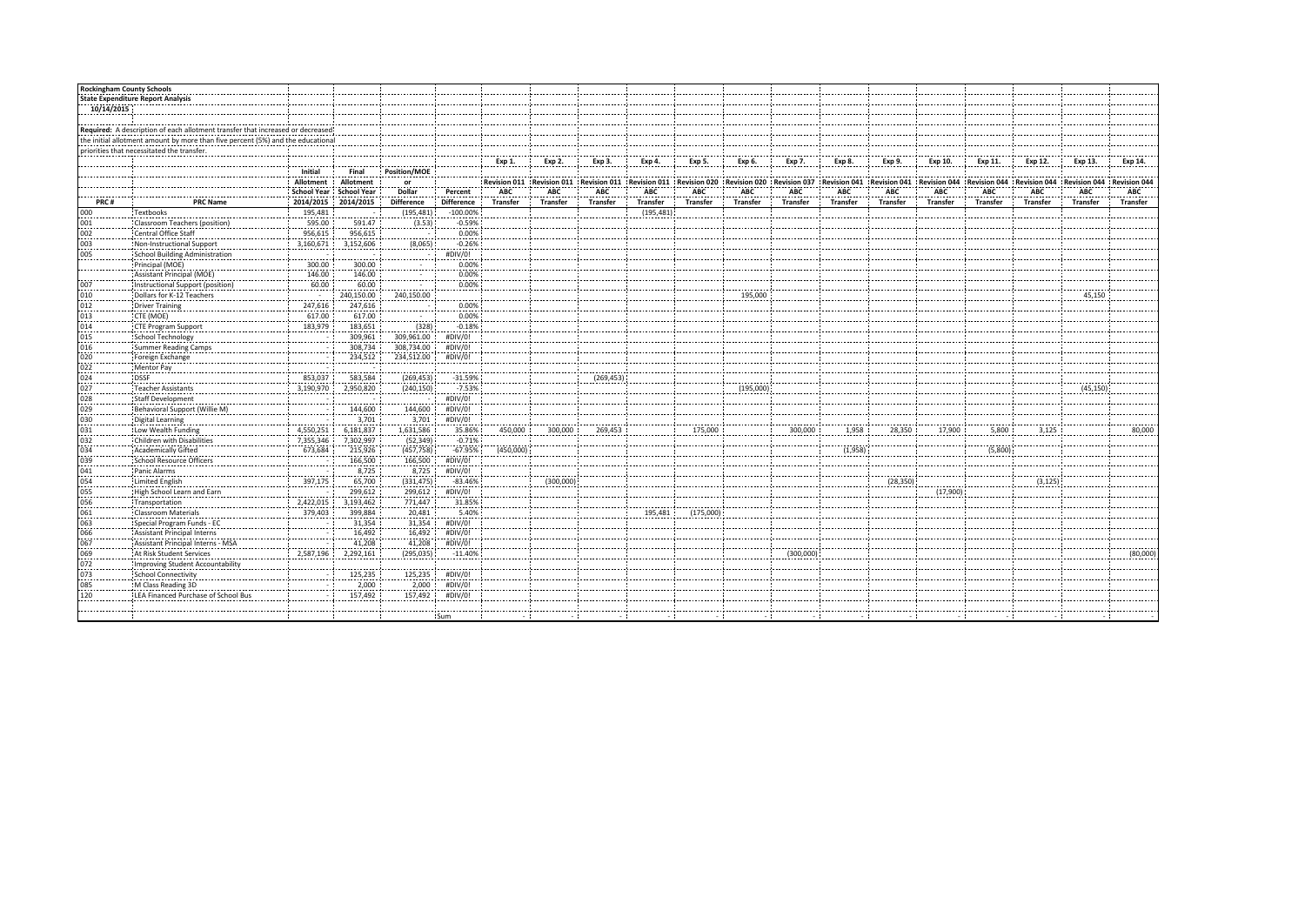| <b>Rockingham County Schools</b> |                                                                                 |                         |                         |                            |                               |           |                                                                                                                                                                                                                 |                 |                 |           |                 |           |                   |                 |                 |                 |          |              |                |
|----------------------------------|---------------------------------------------------------------------------------|-------------------------|-------------------------|----------------------------|-------------------------------|-----------|-----------------------------------------------------------------------------------------------------------------------------------------------------------------------------------------------------------------|-----------------|-----------------|-----------|-----------------|-----------|-------------------|-----------------|-----------------|-----------------|----------|--------------|----------------|
|                                  | <b>State Expenditure Report Analysis</b>                                        |                         |                         |                            |                               |           |                                                                                                                                                                                                                 |                 |                 |           |                 |           |                   |                 |                 |                 |          |              |                |
| 10/14/2015                       |                                                                                 |                         |                         |                            |                               |           |                                                                                                                                                                                                                 |                 |                 |           |                 |           |                   |                 |                 |                 |          |              |                |
|                                  |                                                                                 |                         |                         |                            |                               |           |                                                                                                                                                                                                                 |                 |                 |           |                 |           |                   |                 |                 |                 |          |              |                |
|                                  | Required: A description of each allotment transfer that increased or decreased  |                         |                         |                            |                               |           |                                                                                                                                                                                                                 |                 |                 |           |                 |           |                   |                 |                 |                 |          |              |                |
|                                  | the initial allotment amount by more than five percent (5%) and the educational |                         |                         |                            |                               |           |                                                                                                                                                                                                                 |                 |                 |           |                 |           |                   |                 |                 |                 |          |              |                |
|                                  | priorities that necessitated the transfer.                                      |                         |                         |                            |                               |           |                                                                                                                                                                                                                 |                 |                 |           |                 |           |                   |                 |                 |                 |          |              |                |
|                                  |                                                                                 |                         |                         |                            |                               | $Exp 1$ . | Exp.2                                                                                                                                                                                                           | Exp 3.          | Exp 4.          | Exp 5.    | Exp 6.          | Exp 7.    | Exp 8.            | Exp.9.          | Exp 10.         | Exp 11.         | Exp 12.  | Exp 13.      | Exp 14         |
|                                  |                                                                                 | Initial                 | Final                   | Position/MOE               |                               |           |                                                                                                                                                                                                                 |                 |                 |           |                 |           |                   |                 |                 |                 |          |              |                |
|                                  |                                                                                 | Allotment               | Allotment               | or<br>. <b>.</b> .         | .                             |           | Revision 011   Revision 011   Revision 011   Revision 011   Revision 020   Revision 020   Revision 027   Revision 041   Revision 041   Revision 044   Revision 044   Revision 044   Revision 044   Revision 044 |                 |                 |           |                 |           |                   |                 |                 |                 |          | Revision 044 | : Revision 044 |
|                                  |                                                                                 |                         | School Year School Year | Dollar                     | Percent                       | ABC       | ABC                                                                                                                                                                                                             | ABC             | ABC             | ABC       | ABC             | ABC       | ABC               | ABC             | ABC             | ABC             | ABC      | <b>ABC</b>   | ABC            |
| PRC#                             | <b>PRC Name</b>                                                                 |                         | 2014/2015 2014/2015     | <b>Difference</b>          | <b>Difference</b>             | Transfer  | <b>Transfer</b>                                                                                                                                                                                                 | <b>Transfer</b> | <b>Transfer</b> | Transfer  | <b>Transfer</b> | Transfer  | <b>Transfer</b>   | <b>Transfer</b> | <b>Transfer</b> | <b>Transfer</b> | Transfer | Transfer     | Transfer       |
| 000                              | : Textbooks<br>                                                                 | 195,481                 |                         | $(195, 481)$ :             | $-100.00\%$                   |           |                                                                                                                                                                                                                 |                 | (195, 481)      |           |                 |           |                   |                 |                 |                 |          |              |                |
|                                  | Classroom Teachers (position)                                                   | 595.00                  | 591.47                  | (3.53)                     | $-0.59%$                      |           |                                                                                                                                                                                                                 |                 |                 |           |                 |           |                   |                 |                 |                 |          |              |                |
|                                  | Central Office Staff                                                            | $-255.615$              | 956,615                 |                            |                               |           |                                                                                                                                                                                                                 |                 |                 |           |                 |           |                   |                 |                 |                 |          |              |                |
|                                  |                                                                                 |                         | $3,160,671$ $3,152,606$ | $(8,065)$ :                |                               |           |                                                                                                                                                                                                                 |                 |                 |           |                 |           |                   |                 |                 |                 |          |              |                |
|                                  | Non-Instructional Support<br>School Building Administration                     |                         |                         |                            | $0.00\%$<br>-0.26%<br>#DIV/0! |           |                                                                                                                                                                                                                 |                 |                 |           |                 |           |                   |                 |                 |                 |          |              |                |
|                                  | <br>Principal (MOE)                                                             | . <b>.</b> 4.<br>300.00 | 300.00                  |                            |                               |           |                                                                                                                                                                                                                 |                 |                 |           |                 |           |                   |                 |                 |                 |          |              |                |
|                                  | <br>Assistant Principal (MOE)                                                   |                         | .                       |                            | $\frac{0.00\%}{0.000\%}$      |           |                                                                                                                                                                                                                 |                 |                 |           |                 |           |                   |                 |                 |                 |          |              |                |
|                                  | Instructional Support (position)                                                | $\frac{146.00}{60.00}$  | $\frac{146.00}{60.00}$  |                            |                               |           |                                                                                                                                                                                                                 |                 |                 |           |                 |           |                   |                 |                 |                 |          |              |                |
|                                  | ----------------------------------<br>Dollars for K-12 Teachers                 |                         | 240,150.00              |                            | 240,150.00                    |           |                                                                                                                                                                                                                 |                 |                 |           | 195,000         |           |                   |                 |                 |                 |          | 45,150       |                |
|                                  | Driver Training                                                                 | 247,616 :               | 247,616                 |                            | 0.00%                         |           |                                                                                                                                                                                                                 |                 |                 |           |                 |           |                   |                 |                 |                 |          |              |                |
|                                  | CTE (MOE)                                                                       | 617.00                  | 617.00                  |                            | $\frac{1}{0.00\%}$            |           |                                                                                                                                                                                                                 |                 |                 |           |                 |           |                   |                 |                 |                 |          |              |                |
|                                  | CTE Program Support                                                             | $\frac{1}{183,979}$     | 183,651                 | (328)                      | $(328)$ $-0.18\%$             |           |                                                                                                                                                                                                                 |                 |                 |           |                 |           |                   |                 |                 |                 |          |              |                |
|                                  | School Technology                                                               |                         | 309,961                 | 309,961.00 :               | #DIV/0!                       |           |                                                                                                                                                                                                                 |                 |                 |           |                 |           |                   |                 |                 |                 |          |              |                |
|                                  | Summer Reading Camps                                                            | .                       | 308,734                 | 308,734.00                 | #DIV/0!                       |           |                                                                                                                                                                                                                 |                 |                 |           |                 |           |                   |                 |                 |                 |          |              |                |
|                                  |                                                                                 |                         | 234,512                 | 234,512.00                 | #DIV/0!                       |           |                                                                                                                                                                                                                 |                 |                 |           |                 |           |                   |                 |                 |                 |          |              |                |
|                                  | Foreign Exchange<br>Mentor Pay                                                  |                         |                         |                            |                               |           |                                                                                                                                                                                                                 |                 |                 |           |                 |           |                   |                 |                 |                 |          |              |                |
|                                  | ----------------<br>! DSSF                                                      | 853,037 :               | 583,584                 | (269, 453)                 | $-31.59%$                     |           |                                                                                                                                                                                                                 | (269, 453)      |                 |           |                 |           |                   |                 |                 |                 |          |              |                |
|                                  | , <del></del>                                                                   | 3,190,970               | <br>2,950,820           | (240, 150)                 | $-7.53\%$                     |           |                                                                                                                                                                                                                 |                 |                 |           | .<br>(195,000)  |           |                   |                 |                 |                 |          | <br>(45, 15) |                |
|                                  | Teacher Assistants<br>Staff Development                                         |                         |                         | $-1$                       | #DIV/0!                       |           |                                                                                                                                                                                                                 |                 |                 |           |                 |           |                   |                 |                 |                 |          |              |                |
|                                  | Behavioral Support (Willie M)                                                   |                         | 144,600                 | 144,600 :                  | #DIV/0!                       |           |                                                                                                                                                                                                                 |                 |                 |           |                 |           |                   |                 |                 |                 |          |              |                |
|                                  | <br>Digital Learning                                                            |                         | 3,701                   | 3,701                      | #DIV/0!                       |           |                                                                                                                                                                                                                 |                 |                 |           |                 |           |                   |                 |                 |                 |          |              |                |
|                                  | . <del>.</del> .<br>Low Wealth Funding                                          | 4,550,251 :             | 6,181,837               | 1,631,586                  |                               | 450,000   | 300,000                                                                                                                                                                                                         | 269,453         |                 | 175,000   |                 | 300,000   | 1,958             | 28,350          | 17,900          | 5,800           | 3,125    |              | 80,000         |
|                                  | Children with Disabilities                                                      | 7,355,346               | 7,302,997               | (52, 349)                  | 35.86%<br>-0.71%              |           |                                                                                                                                                                                                                 |                 |                 |           |                 |           |                   |                 |                 |                 |          |              |                |
|                                  | Academically Gifted                                                             | 673,684                 | 215.926                 | $(457, 758)$ :             | $-67.95%$                     | (450,000) |                                                                                                                                                                                                                 |                 |                 |           |                 |           | $\ldots$ (1,958): |                 |                 | .<br>(5,800)    |          |              |                |
|                                  | .<br>School Resource Officers                                                   |                         | 166,500                 | 166,500 :                  | #DIV/0!                       |           |                                                                                                                                                                                                                 |                 |                 |           |                 |           |                   |                 |                 |                 |          |              |                |
|                                  | Panic Alarms                                                                    |                         |                         | 8,725                      | #DIV/0!                       |           |                                                                                                                                                                                                                 |                 |                 |           |                 |           |                   |                 |                 |                 |          |              |                |
|                                  | Limited English                                                                 | 397,175 :               |                         | (331, 475)                 | $-83.46%$                     |           | (300,000)                                                                                                                                                                                                       |                 |                 |           |                 |           |                   | (28, 350)       |                 |                 | (3, 125) |              |                |
|                                  | High School Learn and Earn                                                      |                         | 299,612                 | 299,612 :                  | #DIV/0!                       |           |                                                                                                                                                                                                                 |                 |                 |           |                 |           |                   |                 | (17,900)        |                 |          |              |                |
|                                  | Transportation                                                                  | 2,422,015               | 3,193,462               | 771,447                    | $31.85\%$<br>5.40%<br>#DIV/0! |           |                                                                                                                                                                                                                 |                 |                 |           |                 |           |                   |                 |                 |                 |          |              |                |
|                                  | <b>Classroom Materials</b>                                                      | $\frac{1}{379,403}$     | 399,884                 | 20,481                     |                               |           |                                                                                                                                                                                                                 |                 | 195,481         | (175,000) |                 |           |                   |                 |                 |                 |          |              |                |
|                                  | Special Program Funds - EC                                                      |                         | 31,354                  | 31,354                     |                               |           |                                                                                                                                                                                                                 |                 |                 |           |                 |           |                   |                 |                 |                 |          |              |                |
|                                  | <b>Assistant Principal Interns</b>                                              |                         | 16,492                  | 16,492                     | #DIV/0!                       |           |                                                                                                                                                                                                                 |                 |                 |           |                 |           |                   |                 |                 |                 |          |              |                |
|                                  | Assistant Principal Interns - MSA                                               |                         | 41,208                  |                            | #DIV/0!                       |           |                                                                                                                                                                                                                 |                 |                 |           |                 |           |                   |                 |                 |                 |          |              |                |
|                                  | At Risk Student Services                                                        | 2,587,196 :             | 2,292,161               | $\frac{41,208}{(295,035)}$ | $-11.40%$                     |           |                                                                                                                                                                                                                 |                 |                 |           |                 | (300,000) |                   |                 |                 |                 |          |              |                |
|                                  | Improving Student Accountability                                                |                         |                         |                            |                               |           |                                                                                                                                                                                                                 |                 |                 |           |                 |           |                   |                 |                 |                 |          |              |                |
|                                  | <br><b>School Connectivity</b>                                                  |                         | <br>125,235             | <br>125,235 ;              | .<br>#DIV/0!                  |           |                                                                                                                                                                                                                 |                 |                 |           |                 |           |                   |                 |                 |                 |          |              |                |
|                                  | M Class Reading 3D                                                              |                         | 2,000                   | 2,000                      | #DIV/0!                       |           |                                                                                                                                                                                                                 |                 |                 |           |                 |           |                   |                 |                 |                 |          |              |                |
|                                  | LEA Financed Purchase of School Bus                                             |                         | 157,492                 | 157,492                    | #DIV/0!                       |           |                                                                                                                                                                                                                 |                 |                 |           |                 |           |                   |                 |                 |                 |          |              |                |
|                                  |                                                                                 |                         |                         |                            |                               |           |                                                                                                                                                                                                                 |                 |                 |           |                 |           |                   |                 |                 |                 |          |              |                |
|                                  |                                                                                 |                         |                         |                            | : Sum                         |           |                                                                                                                                                                                                                 |                 |                 |           |                 |           |                   |                 |                 | .               |          |              |                |
|                                  |                                                                                 |                         |                         |                            |                               |           |                                                                                                                                                                                                                 |                 |                 |           |                 |           |                   |                 |                 |                 |          |              |                |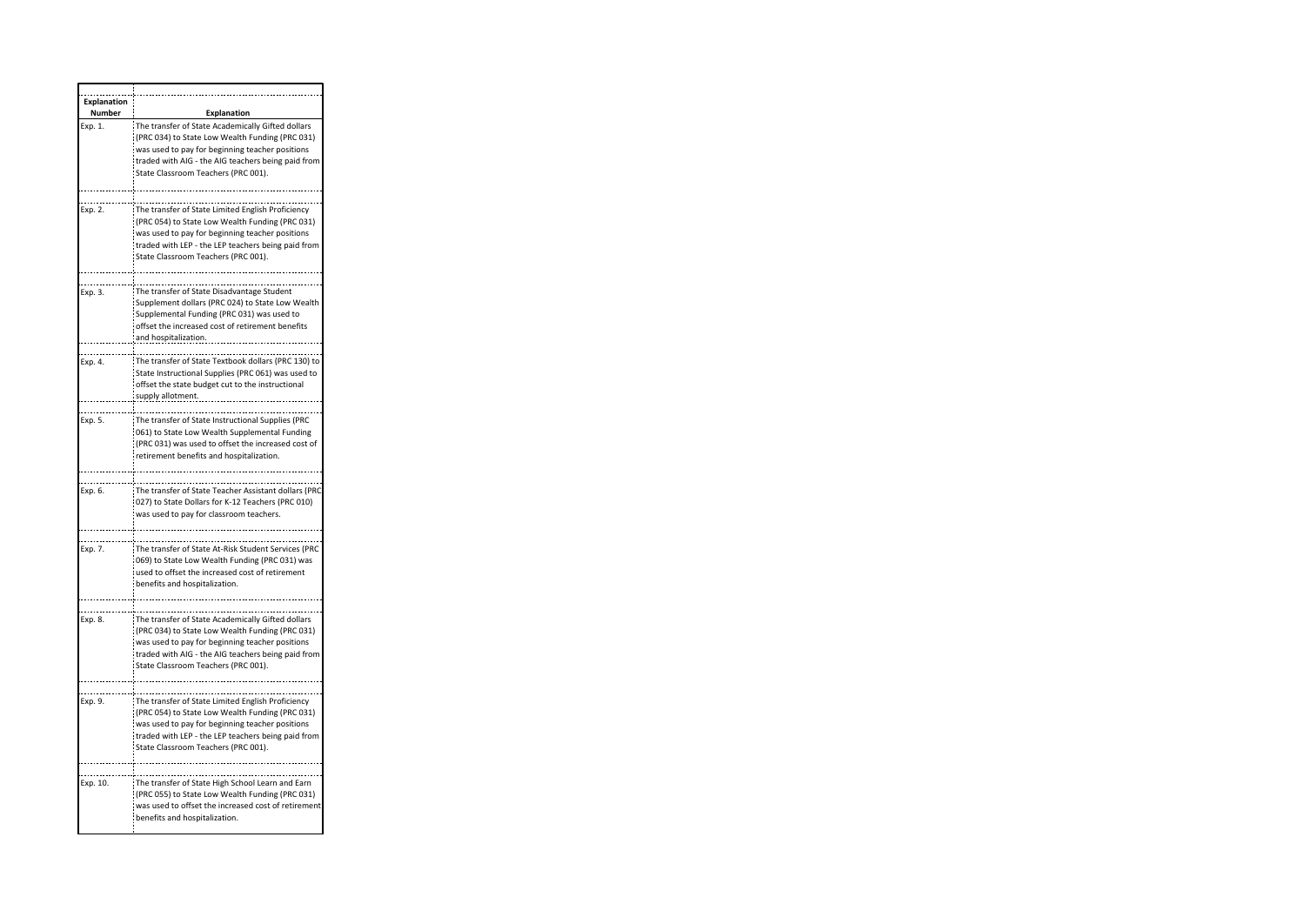| <b>Explanation</b><br>Number | <b>Explanation</b>                                                                                                                                                                                                                                   |
|------------------------------|------------------------------------------------------------------------------------------------------------------------------------------------------------------------------------------------------------------------------------------------------|
| Exp. 1.                      | The transfer of State Academically Gifted dollars<br>(PRC 034) to State Low Wealth Funding (PRC 031)<br>was used to pay for beginning teacher positions<br>traded with AIG - the AIG teachers being paid from<br>State Classroom Teachers (PRC 001). |
|                              |                                                                                                                                                                                                                                                      |
| Exp. 2.                      | The transfer of State Limited English Proficiency<br>(PRC 054) to State Low Wealth Funding (PRC 031)<br>was used to pay for beginning teacher positions<br>traded with LEP - the LEP teachers being paid from<br>State Classroom Teachers (PRC 001). |
|                              |                                                                                                                                                                                                                                                      |
| Exp. 3.                      | The transfer of State Disadvantage Student<br>Supplement dollars (PRC 024) to State Low Wealth<br>Supplemental Funding (PRC 031) was used to<br>offset the increased cost of retirement benefits<br>and hospitalization.                             |
|                              |                                                                                                                                                                                                                                                      |
| Exp. 4.                      | The transfer of State Textbook dollars (PRC 130) to<br>State Instructional Supplies (PRC 061) was used to<br>offset the state budget cut to the instructional<br>supply allotment.                                                                   |
|                              |                                                                                                                                                                                                                                                      |
| Exp. 5.                      | The transfer of State Instructional Supplies (PRC<br>:061) to State Low Wealth Supplemental Funding<br>(PRC 031) was used to offset the increased cost of<br>retirement benefits and hospitalization.                                                |
|                              |                                                                                                                                                                                                                                                      |
| Exp. 6.                      | The transfer of State Teacher Assistant dollars (PRC<br>(027) to State Dollars for K-12 Teachers (PRC 010)<br>was used to pay for classroom teachers.                                                                                                |
|                              |                                                                                                                                                                                                                                                      |
| Exp. 7.                      | The transfer of State At-Risk Student Services (PRC<br>069) to State Low Wealth Funding (PRC 031) was<br>used to offset the increased cost of retirement<br>benefits and hospitalization.                                                            |
|                              |                                                                                                                                                                                                                                                      |
| Exp. 8.                      | The transfer of State Academically Gifted dollars<br>(PRC 034) to State Low Wealth Funding (PRC 031)<br>was used to pay for beginning teacher positions<br>traded with AIG - the AIG teachers being paid from<br>State Classroom Teachers (PRC 001). |
|                              |                                                                                                                                                                                                                                                      |
| Exp. 9.                      | The transfer of State Limited English Proficiency<br>(PRC 054) to State Low Wealth Funding (PRC 031)<br>was used to pay for beginning teacher positions<br>traded with LEP - the LEP teachers being paid from<br>State Classroom Teachers (PRC 001). |
|                              |                                                                                                                                                                                                                                                      |
| Exp. 10.                     | The transfer of State High School Learn and Earn<br>(PRC 055) to State Low Wealth Funding (PRC 031)<br>was used to offset the increased cost of retirement<br>benefits and hospitalization.                                                          |